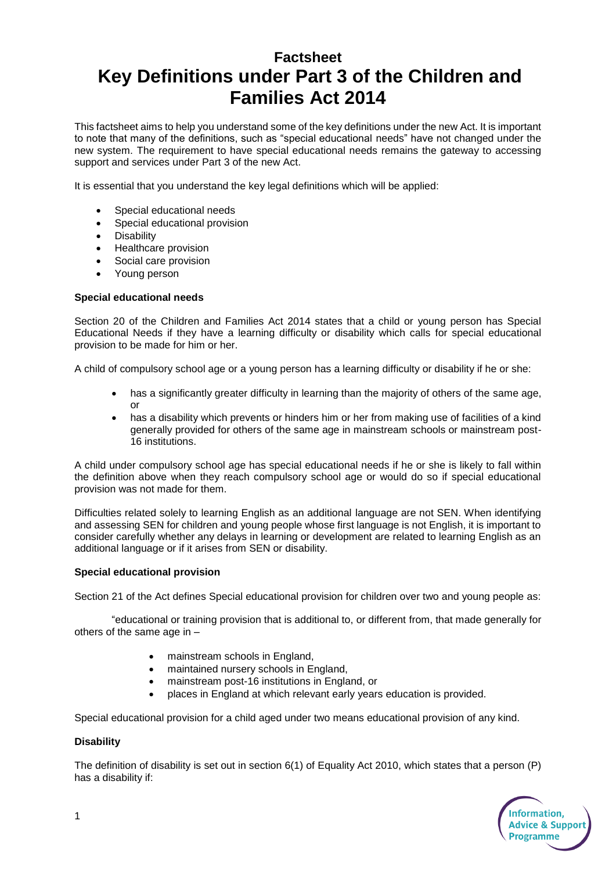# **Factsheet Key Definitions under Part 3 of the Children and Families Act 2014**

This factsheet aims to help you understand some of the key definitions under the new Act. It is important to note that many of the definitions, such as "special educational needs" have not changed under the new system. The requirement to have special educational needs remains the gateway to accessing support and services under Part 3 of the new Act.

It is essential that you understand the key legal definitions which will be applied:

- Special educational needs
- Special educational provision
- **Disability**
- Healthcare provision
- Social care provision
- Young person

# **Special educational needs**

Section 20 of the Children and Families Act 2014 states that a child or young person has Special Educational Needs if they have a learning difficulty or disability which calls for special educational provision to be made for him or her.

A child of compulsory school age or a young person has a learning difficulty or disability if he or she:

- has a significantly greater difficulty in learning than the majority of others of the same age, or
- has a disability which prevents or hinders him or her from making use of facilities of a kind generally provided for others of the same age in mainstream schools or mainstream post-16 institutions.

A child under compulsory school age has special educational needs if he or she is likely to fall within the definition above when they reach compulsory school age or would do so if special educational provision was not made for them.

Difficulties related solely to learning English as an additional language are not SEN. When identifying and assessing SEN for children and young people whose first language is not English, it is important to consider carefully whether any delays in learning or development are related to learning English as an additional language or if it arises from SEN or disability.

### **Special educational provision**

Section 21 of the Act defines Special educational provision for children over two and young people as:

"educational or training provision that is additional to, or different from, that made generally for others of the same age in –

- mainstream schools in England,
- maintained nursery schools in England,
- mainstream post-16 institutions in England, or
- places in England at which relevant early years education is provided.

Special educational provision for a child aged under two means educational provision of any kind.

### **Disability**

The definition of disability is set out in section 6(1) of Equality Act 2010, which states that a person (P) has a disability if: